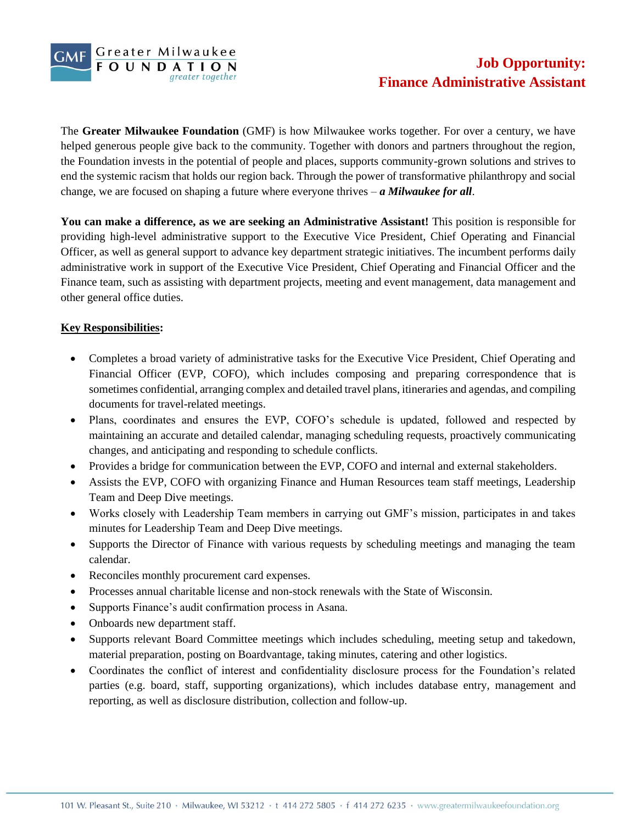

The **Greater Milwaukee Foundation** (GMF) is how Milwaukee works together. For over a century, we have helped generous people give back to the community. Together with donors and partners throughout the region, the Foundation invests in the potential of people and places, supports community-grown solutions and strives to end the systemic racism that holds our region back. Through the power of transformative philanthropy and social change, we are focused on shaping a future where everyone thrives – *a Milwaukee for all*.

**You can make a difference, as we are seeking an Administrative Assistant!** This position is responsible for providing high-level administrative support to the Executive Vice President, Chief Operating and Financial Officer, as well as general support to advance key department strategic initiatives. The incumbent performs daily administrative work in support of the Executive Vice President, Chief Operating and Financial Officer and the Finance team, such as assisting with department projects, meeting and event management, data management and other general office duties.

## **Key Responsibilities:**

- Completes a broad variety of administrative tasks for the Executive Vice President, Chief Operating and Financial Officer (EVP, COFO), which includes composing and preparing correspondence that is sometimes confidential, arranging complex and detailed travel plans, itineraries and agendas, and compiling documents for travel-related meetings.
- Plans, coordinates and ensures the EVP, COFO's schedule is updated, followed and respected by maintaining an accurate and detailed calendar, managing scheduling requests, proactively communicating changes, and anticipating and responding to schedule conflicts.
- Provides a bridge for communication between the EVP, COFO and internal and external stakeholders.
- Assists the EVP, COFO with organizing Finance and Human Resources team staff meetings, Leadership Team and Deep Dive meetings.
- Works closely with Leadership Team members in carrying out GMF's mission, participates in and takes minutes for Leadership Team and Deep Dive meetings.
- Supports the Director of Finance with various requests by scheduling meetings and managing the team calendar.
- Reconciles monthly procurement card expenses.
- Processes annual charitable license and non-stock renewals with the State of Wisconsin.
- Supports Finance's audit confirmation process in Asana.
- Onboards new department staff.
- Supports relevant Board Committee meetings which includes scheduling, meeting setup and takedown, material preparation, posting on Boardvantage, taking minutes, catering and other logistics.
- Coordinates the conflict of interest and confidentiality disclosure process for the Foundation's related parties (e.g. board, staff, supporting organizations), which includes database entry, management and reporting, as well as disclosure distribution, collection and follow-up.